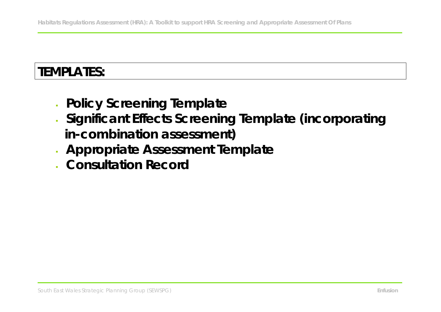# **TEMPLATES:**

- **Policy Screening Template**
- **Significant Effects Screening Template (incorporating in-combination assessment)**
- **Appropriate Assessment Template**
- **Consultation Record**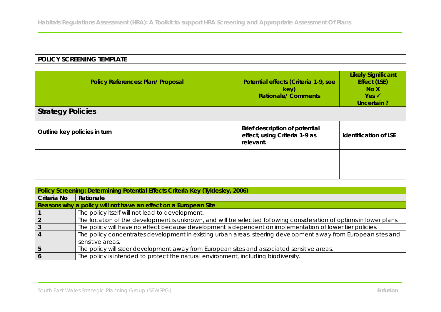# **POLICY SCREENING TEMPLATE**

| Policy References: Plan/ Proposal | Potential effects (Criteria 1-9, see<br>key)<br><b>Rationale/Comments</b>    | <b>Likely Significant</b><br>Effect (LSE)<br>No X<br>$Yes \checkmark$<br>Uncertain? |
|-----------------------------------|------------------------------------------------------------------------------|-------------------------------------------------------------------------------------|
| <b>Strategy Policies</b>          |                                                                              |                                                                                     |
| Outline key policies in turn      | Brief description of potential<br>effect, using Criteria 1-9 as<br>relevant. | Identification of LSE                                                               |
|                                   |                                                                              |                                                                                     |
|                                   |                                                                              |                                                                                     |

|             | Policy Screening: Determining Potential Effects Criteria Key (Tyldesley, 2006)                                      |
|-------------|---------------------------------------------------------------------------------------------------------------------|
| Criteria No | Rationale                                                                                                           |
|             | Reasons why a policy will not have an effect on a European Site                                                     |
|             | The policy itself will not lead to development.                                                                     |
|             | The location of the development is unknown, and will be selected following consideration of options in lower plans. |
|             | The policy will have no effect because development is dependent on implementation of lower tier policies.           |
|             | The policy concentrates development in existing urban areas, steering development away from European sites and      |
|             | sensitive areas.                                                                                                    |
|             | The policy will steer development away from European sites and associated sensitive areas.                          |
|             | The policy is intended to protect the natural environment, including biodiversity.                                  |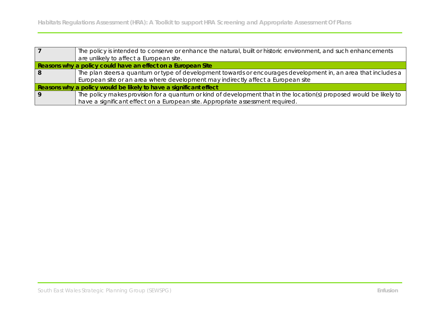|     | The policy is intended to conserve or enhance the natural, built or historic environment, and such enhancements     |
|-----|---------------------------------------------------------------------------------------------------------------------|
|     | are unlikely to affect a European site.                                                                             |
|     | Reasons why a policy could have an effect on a European Site                                                        |
| l 8 | The plan steers a quantum or type of development towards or encourages development in, an area that includes a      |
|     | European site or an area where development may indirectly affect a European site                                    |
|     | Reasons why a policy would be likely to have a significant effect                                                   |
| Q   | The policy makes provision for a quantum or kind of development that in the location(s) proposed would be likely to |
|     | have a significant effect on a European site. Appropriate assessment required.                                      |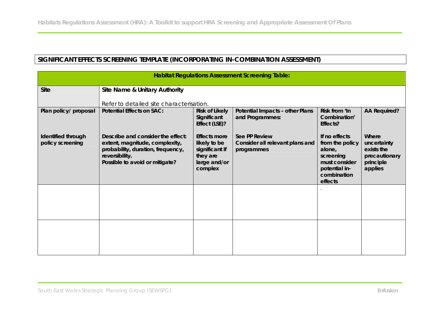# **SIGNIFICANT EFFECTS SCREENING TEMPLATE (INCORPORATING IN-COMBINATION ASSESSMENT)**

|                                        |                                                                                                                                                              |                                                                                       | <b>Habitat Regulations Assessment Screening Table:</b>         |                                                                                                                     |                                                                             |
|----------------------------------------|--------------------------------------------------------------------------------------------------------------------------------------------------------------|---------------------------------------------------------------------------------------|----------------------------------------------------------------|---------------------------------------------------------------------------------------------------------------------|-----------------------------------------------------------------------------|
| <b>Site</b>                            | Site Name & Unitary Authority                                                                                                                                |                                                                                       |                                                                |                                                                                                                     |                                                                             |
|                                        | Refer to detailed site characterisation.                                                                                                                     |                                                                                       |                                                                |                                                                                                                     |                                                                             |
| Plan policy/ proposal                  | Potential Effects on SAC:                                                                                                                                    | Risk of Likely<br>Significant<br>Effect (LSE)?                                        | Potential Impacts - other Plans<br>and Programmes:             | Risk from 'In<br>Combination'<br>Effects?                                                                           | AA Required?                                                                |
| Identified through<br>policy screening | Describe and consider the effect:<br>extent, magnitude, complexity,<br>probability, duration, frequency,<br>reversibility.<br>Possible to avoid or mitigate? | Effects more<br>likely to be<br>significant if<br>they are<br>large and/or<br>complex | See PP Review<br>Consider all relevant plans and<br>programmes | If no effects<br>from the policy<br>alone,<br>screening<br>must consider<br>potential in-<br>combination<br>effects | Where<br>uncertainty<br>exists the<br>precautionary<br>principle<br>applies |
|                                        |                                                                                                                                                              |                                                                                       |                                                                |                                                                                                                     |                                                                             |
|                                        |                                                                                                                                                              |                                                                                       |                                                                |                                                                                                                     |                                                                             |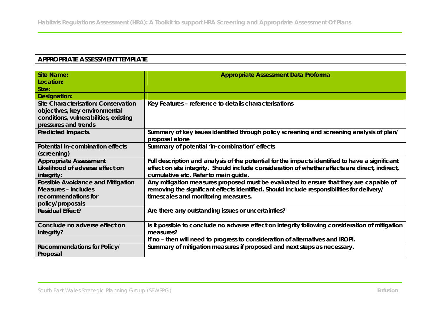# **APPROPRIATE ASSESSMENT TEMPLATE**

| <b>Site Name:</b>                     | Appropriate Assessment Data Proforma                                                                        |
|---------------------------------------|-------------------------------------------------------------------------------------------------------------|
| Location:                             |                                                                                                             |
| Size:                                 |                                                                                                             |
| Designation:                          |                                                                                                             |
| Site Characterisation: Conservation   | Key Features - reference to details characterisations                                                       |
| objectives, key environmental         |                                                                                                             |
| conditions, vulnerabilities, existing |                                                                                                             |
| pressures and trends                  |                                                                                                             |
| Predicted Impacts.                    | Summary of key issues identified through policy screening and screening analysis of plan/<br>proposal alone |
| Potential In-combination effects      | Summary of potential 'in-combination' effects                                                               |
| (screening)                           |                                                                                                             |
| Appropriate Assessment                | Full description and analysis of the potential for the impacts identified to have a significant             |
| Likelihood of adverse effect on       | effect on site integrity. Should include consideration of whether effects are direct, indirect,             |
| integrity:                            | cumulative etc. Refer to main guide.                                                                        |
| Possible Avoidance and Mitigation     | Any mitigation measures proposed must be evaluated to ensure that they are capable of                       |
| Measures - includes                   | removing the significant effects identified. Should include responsibilities for delivery/                  |
| recommendations for                   | timescales and monitoring measures.                                                                         |
| policy/proposals                      |                                                                                                             |
| <b>Residual Effect?</b>               | Are there any outstanding issues or uncertainties?                                                          |
| Conclude no adverse effect on         | Is it possible to conclude no adverse effect on integrity following consideration of mitigation             |
| integrity?                            | measures?                                                                                                   |
|                                       | If no - then will need to progress to consideration of alternatives and IROPI.                              |
| Recommendations for Policy/           | Summary of mitigation measures if proposed and next steps as necessary.                                     |
| Proposal                              |                                                                                                             |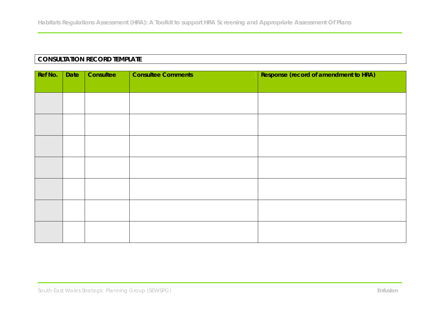# **CONSULTATION RECORD TEMPLATE**

| Ref No. | Date | Consultee | <b>Consultee Comments</b> | Response (record of amendment to HRA) |
|---------|------|-----------|---------------------------|---------------------------------------|
|         |      |           |                           |                                       |
|         |      |           |                           |                                       |
|         |      |           |                           |                                       |
|         |      |           |                           |                                       |
|         |      |           |                           |                                       |
|         |      |           |                           |                                       |
|         |      |           |                           |                                       |
|         |      |           |                           |                                       |
|         |      |           |                           |                                       |
|         |      |           |                           |                                       |
|         |      |           |                           |                                       |
|         |      |           |                           |                                       |
|         |      |           |                           |                                       |
|         |      |           |                           |                                       |
|         |      |           |                           |                                       |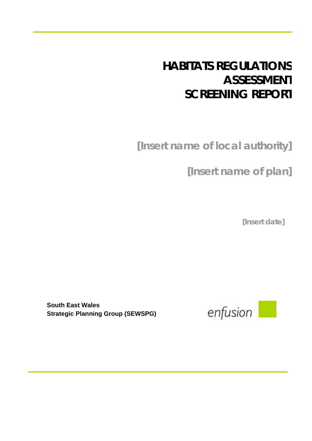# **HABITATS REGULATIONS ASSESSMENT SCREENING REPORT**

**[Insert name of local authority]**

**[Insert name of plan]**

**[Insert date]**

**South East Wales Strategic Planning Group (SEWSPG)**

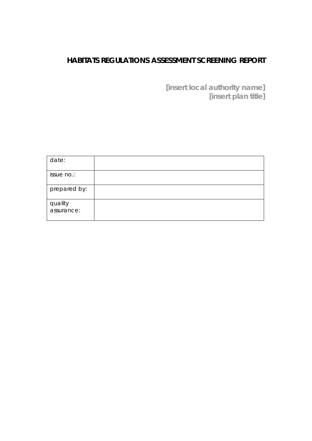# **HABITATS REGULATIONS ASSESSMENT SCREENING REPORT**

**[insert local authority name] [insert plan title]**

| date:                 |  |
|-----------------------|--|
| issue no.:            |  |
| prepared by:          |  |
| quality<br>assurance: |  |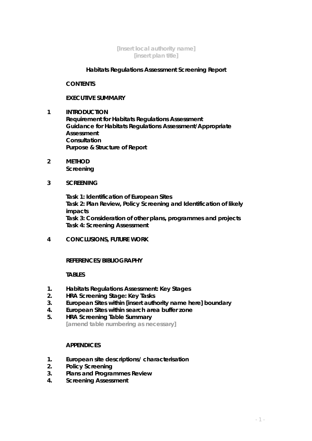#### **[Insert local authority name] [insert plan title]**

#### **Habitats Regulations Assessment Screening Report**

**CONTENTS**

#### **EXECUTIVE SUMMARY**

- **1 INTRODUCTION Requirement for Habitats Regulations Assessment Guidance for Habitats Regulations Assessment/Appropriate Assessment Consultation Purpose & Structure of Report**
- **2 METHOD Screening**
- **3 SCREENING**

**Task 1: Identification of European Sites Task 2: Plan Review, Policy Screening and Identification of likely impacts Task 3: Consideration of other plans, programmes and projects Task 4: Screening Assessment**

**4 CONCLUSIONS, FUTURE WORK**

#### **REFERENCES/BIBLIOGRAPHY**

#### **TABLES**

- **1. Habitats Regulations Assessment: Key Stages**
- **2. HRA Screening Stage: Key Tasks**
- **3. European Sites within [insert authority name here] boundary**
- **4. European Sites within search area buffer zone**
- **5. HRA Screening Table Summary [amend table numbering as necessary]**

#### **APPENDICES**

- **1. European site descriptions/ characterisation**
- **2. Policy Screening**
- **3. Plans and Programmes Review**
- **4. Screening Assessment**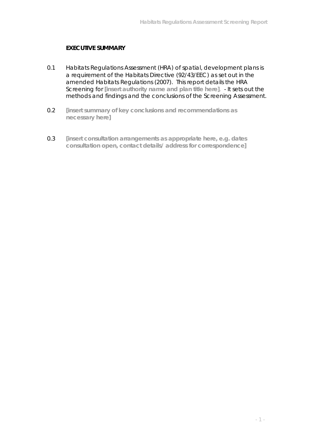#### **EXECUTIVE SUMMARY**

- 0.1 Habitats Regulations Assessment (HRA) of spatial, development plans is a requirement of the Habitats Directive (92/43/EEC) as set out in the amended Habitats Regulations (2007). This report details the HRA Screening for **[insert authority name and plan title here]**. - It sets out the methods and findings and the conclusions of the Screening Assessment.
- 0.2 **[insert summary of key conclusions and recommendations as necessary here]**
- 0.3 **[insert consultation arrangements as appropriate here, e.g. dates consultation open, contact details/ address for correspondence]**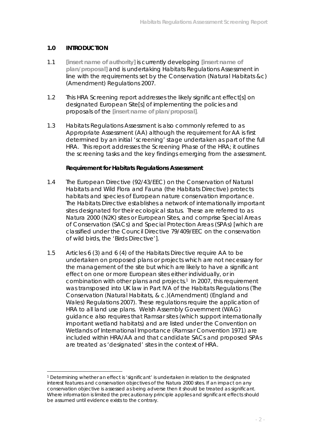#### **1.0 INTRODUCTION**

 $\overline{a}$ 

- 1.1 **[insert name of authority]** is currently developing **[insert name of plan/proposal]** and is undertaking Habitats Regulations Assessment in line with the requirements set by the Conservation (Natural Habitats &c) (Amendment) Regulations 2007.
- 1.2 This HRA Screening report addresses the likely significant effect[s] on designated European Site[s] of implementing the policies and proposals of the **[insert name of plan/proposal]**.
- 1.3 Habitats Regulations Assessment is also commonly referred to as Appropriate Assessment (AA) although the requirement for AA is first determined by an initial 'screening' stage undertaken as part of the full HRA. This report addresses the Screening Phase of the HRA; it outlines the screening tasks and the key findings emerging from the assessment.

**Requirement for Habitats Regulations Assessment**

- 1.4 The European Directive (92/43/EEC) on the Conservation of Natural Habitats and Wild Flora and Fauna (the Habitats Directive) protects habitats and species of European nature conservation importance. The Habitats Directive establishes a network of internationally important sites designated for their ecological status. These are referred to as Natura 2000 (N2K) sites or European Sites, and comprise Special Areas of Conservation (SACs) and Special Protection Areas (SPAs) [which are classified under the Council Directive 79/409/EEC on the conservation of wild birds, the 'Birds Directive'].
- 1.5 Articles 6 (3) and 6 (4) of the Habitats Directive require AA to be undertaken on proposed plans or projects which are not necessary for the management of the site but which are likely to have a significant effect on one or more European sites either individually, or in combination with other plans and projects.<sup>1</sup> In 2007, this requirement was transposed into UK law in Part IVA of the Habitats Regulations (The Conservation (Natural Habitats, & c.)(Amendment) (England and Wales) Regulations 2007). These regulations require the application of HRA to all land use plans. Welsh Assembly Government (WAG) guidance also requires that Ramsar sites (which support internationally important wetland habitats) and are listed under the Convention on Wetlands of International Importance (Ramsar Convention 1971) are included within HRA/AA and that candidate SACs and proposed SPAs are treated as 'designated' sites in the context of HRA.

<sup>1</sup> Determining whether an effect is 'significant' is undertaken in relation to the designated interest features and conservation objectives of the Natura 2000 sites. If an impact on any conservation objective is assessed as being adverse then it should be treated as significant. Where information is limited the precautionary principle applies and significant effects should be assumed until evidence exists to the contrary.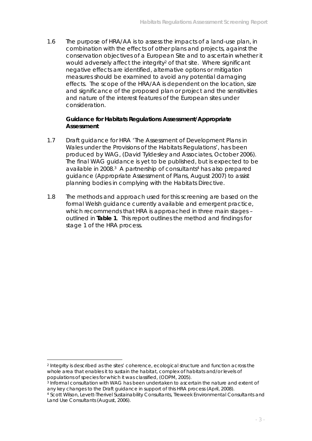1.6 The purpose of HRA/AA is to assess the impacts of a land-use plan, in combination with the effects of other plans and projects, against the conservation objectives of a European Site and to ascertain whether it would adversely affect the integrity<sup>2</sup> of that site. Where significant negative effects are identified, alternative options or mitigation measures should be examined to avoid any potential damaging effects. The scope of the HRA/AA is dependent on the location, size and significance of the proposed plan or project and the sensitivities and nature of the interest features of the European sites under consideration.

**Guidance for Habitats Regulations Assessment/Appropriate Assessment** 

- 1.7 Draft guidance for HRA 'The Assessment of Development Plans in Wales under the Provisions of the Habitats Regulations', has been produced by WAG, (David Tyldesley and Associates, October 2006). The final WAG guidance is yet to be published, but is expected to be available in 2008.3 A partnership of consultants4 has also prepared guidance (Appropriate Assessment of Plans, August 2007) to assist planning bodies in complying with the Habitats Directive.
- 1.8 The methods and approach used for this screening are based on the formal Welsh guidance currently available and emergent practice, which recommends that HRA is approached in three main stages – outlined in **Table 1**. This report outlines the method and findings for stage 1 of the HRA process.

 $\overline{a}$ 

<sup>2</sup> Integrity is described as the sites' coherence, ecological structure and function across the whole area that enables it to sustain the habitat, complex of habitats and/or levels of populations of species for which it was classified, (ODPM, 2005).

<sup>3</sup> Informal consultation with WAG has been undertaken to ascertain the nature and extent of any key changes to the Draft guidance in support of this HRA process (April, 2008).

<sup>4</sup> Scott Wilson, Levett-Therivel Sustainability Consultants, Treweek Environmental Consultants and Land Use Consultants (August, 2006).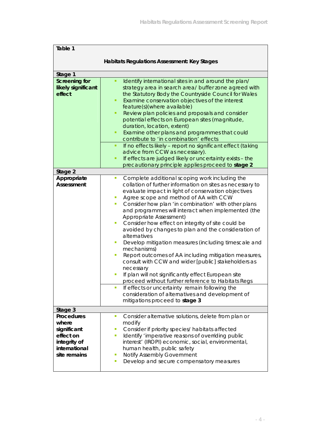| Table 1                                                                                          |                                                                                                                                                                                                                                                                                                                                                                                                                                                                                                                                                                                                                                                                                                                                                                                                                                                                                                                                                                                                                                                                             |
|--------------------------------------------------------------------------------------------------|-----------------------------------------------------------------------------------------------------------------------------------------------------------------------------------------------------------------------------------------------------------------------------------------------------------------------------------------------------------------------------------------------------------------------------------------------------------------------------------------------------------------------------------------------------------------------------------------------------------------------------------------------------------------------------------------------------------------------------------------------------------------------------------------------------------------------------------------------------------------------------------------------------------------------------------------------------------------------------------------------------------------------------------------------------------------------------|
|                                                                                                  | Habitats Regulations Assessment: Key Stages                                                                                                                                                                                                                                                                                                                                                                                                                                                                                                                                                                                                                                                                                                                                                                                                                                                                                                                                                                                                                                 |
| Stage 1                                                                                          |                                                                                                                                                                                                                                                                                                                                                                                                                                                                                                                                                                                                                                                                                                                                                                                                                                                                                                                                                                                                                                                                             |
| Screening for<br>likely significant<br>effect                                                    | Identify international sites in and around the plan/<br>٠<br>strategy area in search area/ buffer zone agreed with<br>the Statutory Body the Countryside Council for Wales<br>Examine conservation objectives of the interest<br>٠<br>feature(s)(where available)<br>Review plan policies and proposals and consider<br>٠<br>potential effects on European sites (magnitude,<br>duration, location, extent)<br>Examine other plans and programmes that could<br>٠<br>contribute to 'in combination' effects<br>If no effects likely - report no significant effect (taking<br>٠<br>advice from CCW as necessary).<br>If effects are judged likely or uncertainty exists - the<br>٠<br>precautionary principle applies proceed to stage 2                                                                                                                                                                                                                                                                                                                                    |
| Stage 2                                                                                          |                                                                                                                                                                                                                                                                                                                                                                                                                                                                                                                                                                                                                                                                                                                                                                                                                                                                                                                                                                                                                                                                             |
| Appropriate<br>Assessment                                                                        | Complete additional scoping work including the<br>$\overline{\phantom{a}}$<br>collation of further information on sites as necessary to<br>evaluate impact in light of conservation objectives<br>Agree scope and method of AA with CCW<br>Consider how plan 'in combination' with other plans<br>$\mathcal{L}_{\mathcal{A}}$<br>and programmes will interact when implemented (the<br>Appropriate Assessment)<br>Consider how effect on integrity of site could be<br>п<br>avoided by changes to plan and the consideration of<br>alternatives<br>Develop mitigation measures (including timescale and<br>$\mathcal{L}_{\mathcal{A}}$<br>mechanisms)<br>Report outcomes of AA including mitigation measures,<br>×,<br>consult with CCW and wider [public] stakeholders as<br>necessary<br>If plan will not significantly effect European site<br>proceed without further reference to Habitats Regs<br>If effects or uncertainty remain following the<br>$\mathcal{L}_{\mathcal{A}}$<br>consideration of alternatives and development of<br>mitigations proceed to stage 3 |
| Stage 3                                                                                          |                                                                                                                                                                                                                                                                                                                                                                                                                                                                                                                                                                                                                                                                                                                                                                                                                                                                                                                                                                                                                                                                             |
| Procedures<br>where<br>significant<br>effect on<br>integrity of<br>international<br>site remains | Consider alternative solutions, delete from plan or<br>$\blacksquare$<br>modify<br>Consider if priority species/ habitats affected<br>$\mathcal{L}_{\mathcal{A}}$<br>Identify 'imperative reasons of overriding public<br>п<br>interest' (IROPI) economic, social, environmental,<br>human health, public safety<br><b>Notify Assembly Government</b><br>ш<br>Develop and secure compensatory measures<br>п                                                                                                                                                                                                                                                                                                                                                                                                                                                                                                                                                                                                                                                                 |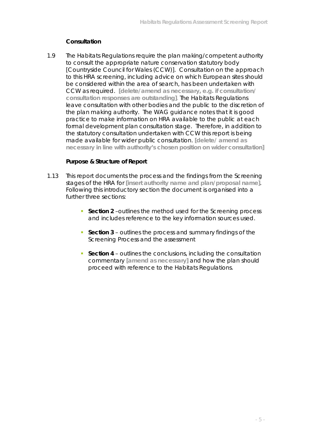#### **Consultation**

1.9 The Habitats Regulations require the plan making/competent authority to consult the appropriate nature conservation statutory body [Countryside Council for Wales (CCW)]. Consultation on the approach to this HRA screening, including advice on which European sites should be considered within the area of search, has been undertaken with CCW as required. **[delete/amend as necessary, e.g. if consultation/ consultation responses are outstanding]**. The Habitats Regulations leave consultation with other bodies and the public to the discretion of the plan making authority. The WAG guidance notes that it is good practice to make information on HRA available to the public at each formal development plan consultation stage. Therefore, in addition to the statutory consultation undertaken with CCW this report is being made available for wider public consultation. **[delete/ amend as necessary in line with authority's chosen position on wider consultation]**

#### **Purpose & Structure of Report**

- 1.13 This report documents the process and the findings from the Screening stages of the HRA for **[insert authority name and plan/proposal name]**. Following this introductory section the document is organised into a further three sections:
	- **Section 2** –outlines the method used for the Screening process and includes reference to the key information sources used.
	- **Section 3** outlines the process and summary findings of the Screening Process and the assessment
	- **Section 4 outlines the conclusions, including the consultation** commentary **[amend as necessary]** and how the plan should proceed with reference to the Habitats Regulations.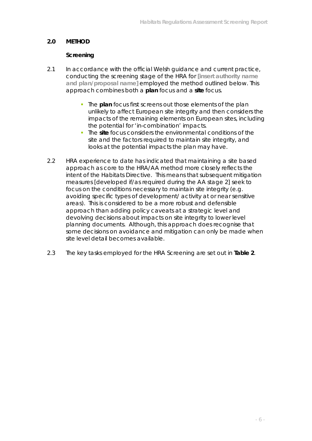## **2.0 METHOD**

#### **Screening**

- 2.1 In accordance with the official Welsh guidance and current practice, conducting the screening stage of the HRA for **[insert authority name and plan/proposal name]** employed the method outlined below. This approach combines both a **plan** focus and a **site** focus.
	- **The plan focus first screens out those elements of the plan** unlikely to affect European site integrity and then considers the impacts of the remaining elements on European sites, including the potential for 'in-combination' impacts.
	- The **site** focus considers the environmental conditions of the site and the factors required to maintain site integrity, and looks at the potential impacts the plan may have.
- 2.2 HRA experience to date has indicated that maintaining a site based approach as core to the HRA/AA method more closely reflects the intent of the Habitats Directive. This means that subsequent mitigation measures [developed if/as required during the AA stage 2] seek to focus on the conditions necessary to maintain site integrity (e.g. avoiding specific types of development/ activity at or near sensitive areas). This is considered to be a more robust and defensible approach than adding policy caveats at a strategic level and devolving decisions about impacts on site integrity to lower level planning documents. Although, this approach does recognise that some decisions on avoidance and mitigation can only be made when site level detail becomes available.
- 2.3 The key tasks employed for the HRA Screening are set out in **Table 2**.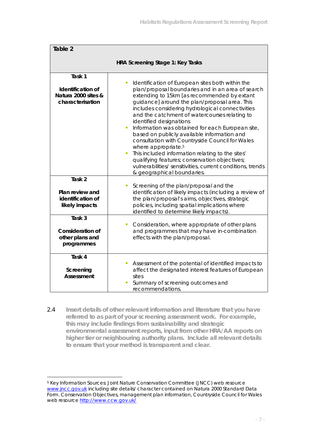| Table 2                                                                |                                                                                                                                                                                                                                                                                                                                                                                                                                                                                                                                                                                                                                                                                                                                                   |
|------------------------------------------------------------------------|---------------------------------------------------------------------------------------------------------------------------------------------------------------------------------------------------------------------------------------------------------------------------------------------------------------------------------------------------------------------------------------------------------------------------------------------------------------------------------------------------------------------------------------------------------------------------------------------------------------------------------------------------------------------------------------------------------------------------------------------------|
|                                                                        | HRA Screening Stage 1: Key Tasks                                                                                                                                                                                                                                                                                                                                                                                                                                                                                                                                                                                                                                                                                                                  |
| Task 1<br>Identification of<br>Natura 2000 sites &<br>characterisation | Identification of European sites both within the<br>I.<br>plan/proposal boundaries and in an area of search<br>extending to 15km [as recommended by extant<br>guidance] around the plan/proposal area. This<br>includes considering hydrological connectivities<br>and the catchment of watercourses relating to<br>identified designations<br>Information was obtained for each European site,<br>I.<br>based on publicly available information and<br>consultation with Countryside Council for Wales<br>where appropriate. <sup>5</sup><br>This included information relating to the sites'<br>Ì,<br>qualifying features; conservation objectives;<br>vulnerabilities/ sensitivities, current conditions, trends<br>& geographical boundaries. |
| Task 2<br>Plan review and<br>identification of<br>likely impacts       | Screening of the plan/proposal and the<br>I.<br>identification of likely impacts (including a review of<br>the plan/proposal's aims, objectives, strategic<br>policies, including spatial implications where<br>identified to determine likely impacts).                                                                                                                                                                                                                                                                                                                                                                                                                                                                                          |
| Task 3<br>Consideration of<br>other plans and<br>programmes            | Consideration, where appropriate of other plans<br>П<br>and programmes that may have in-combination<br>effects with the plan/proposal.                                                                                                                                                                                                                                                                                                                                                                                                                                                                                                                                                                                                            |
| Task 4<br>Screening<br>Assessment                                      | Assessment of the potential of identified impacts to<br>affect the designated interest features of European<br>sites<br>Summary of screening outcomes and<br>recommendations.                                                                                                                                                                                                                                                                                                                                                                                                                                                                                                                                                                     |

2.4 **Insert details of other relevant information and literature that you have referred to as part of your screening assessment work. For example, this may include findings from sustainability and strategic environmental assessment reports, input from other HRA/AA reports on higher tier or neighbouring authority plans. Include all relevant details to ensure that your method is transparent and clear.**

 $\overline{a}$ 

<sup>5</sup> Key Information Sources: Joint Nature Conservation Committee (JNCC) web resource www.jncc.gov.uk including site details/ character contained on Natura 2000 Standard Data Form. Conservation Objectives, management plan information, Countryside Council for Wales web resource http://www.ccw.gov.uk/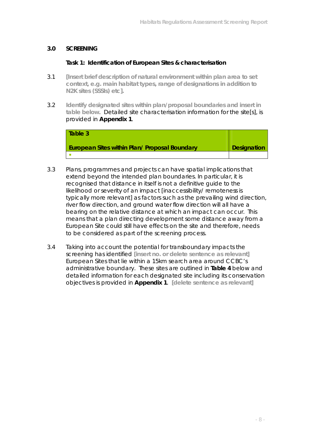#### **3.0 SCREENING**

#### **Task 1: Identification of European Sites & characterisation**

- 3.1 **[Insert brief description of natural environment within plan area to set context, e.g. main habitat types, range of designations in addition to N2K sites (SSSIs) etc].**
- 3.2 **Identify designated sites within plan/proposal boundaries and insert in table below**. Detailed site characterisation information for the site[s], is provided in **Appendix 1**.

| l Table 3                                     |                    |
|-----------------------------------------------|--------------------|
| European Sites within Plan/ Proposal Boundary | <b>Designation</b> |
|                                               |                    |

- 3.3 Plans, programmes and projects can have spatial implications that extend beyond the intended plan boundaries. In particular, it is recognised that distance in itself is not a definitive guide to the likelihood or severity of an impact [inaccessibility/ remoteness is typically more relevant] as factors such as the prevailing wind direction, river flow direction, and ground water flow direction will all have a bearing on the relative distance at which an impact can occur. This means that a plan directing development some distance away from a European Site could still have effects on the site and therefore, needs to be considered as part of the screening process.
- 3.4 Taking into account the potential for transboundary impacts the screening has identified **[insert no. or delete sentence as relevant]** European Sites that lie within a 15km search area around CCBC's administrative boundary. These sites are outlined in **Table 4** below and detailed information for each designated site including its conservation objectives is provided in **Appendix 1**. **[delete sentence as relevant]**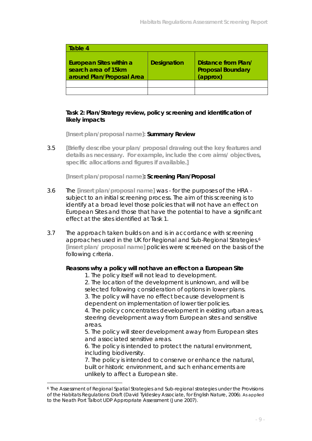| Table 4                                                                     |                    |                                                             |
|-----------------------------------------------------------------------------|--------------------|-------------------------------------------------------------|
| European Sites within a<br>search area of 15km<br>around Plan/Proposal Area | <b>Designation</b> | Distance from Plan/<br><b>Proposal Boundary</b><br>(approx) |
|                                                                             |                    |                                                             |
|                                                                             |                    |                                                             |

#### **Task 2: Plan/Strategy review, policy screening and identification of likely impacts**

**[Insert plan/proposal name]: Summary Review**

3.5 **[Briefly describe your plan/ proposal drawing out the key features and details as necessary. For example, include the core aims/ objectives, specific allocations and figures if available.]**

**[Insert plan/proposal name]: Screening Plan/Proposal**

- 3.6 The **[insert plan/proposal name]** was for the purposes of the HRA subject to an initial screening process. The aim of this screening is to identify at a broad level those policies that will not have an effect on European Sites and those that have the potential to have a significant effect at the sites identified at Task 1.
- 3.7 The approach taken builds on and is in accordance with screening approaches used in the UK for Regional and Sub-Regional Strategies.<sup>6</sup> **[insert plan/ proposal name]** policies were screened on the basis of the following criteria.

**Reasons why a policy will not have an effect on a European Site** 

1. The policy itself will not lead to development.

2. The location of the development is unknown, and will be selected following consideration of options in lower plans.

3. The policy will have no effect because development is dependent on implementation of lower tier policies.

4. The policy concentrates development in existing urban areas, steering development away from European sites and sensitive areas.

5. The policy will steer development away from European sites and associated sensitive areas.

6. The policy is intended to protect the natural environment, including biodiversity.

7. The policy is intended to conserve or enhance the natural, built or historic environment, and such enhancements are unlikely to affect a European site.

 $\overline{a}$ 

<sup>6</sup> The Assessment of Regional Spatial Strategies and Sub-regional strategies under the Provisions of the Habitats Regulations: Draft (David Tyldesley Associate, for English Nature, 2006). As applied to the Neath Port Talbot UDP Appropriate Assessment (June 2007).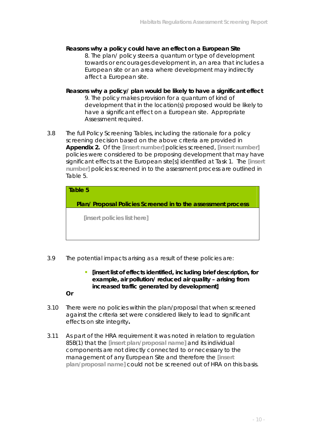- **Reasons why a policy could have an effect on a European Site** 8. The plan/ policy steers a quantum or type of development towards or encourages development in, an area that includes a European site or an area where development may indirectly affect a European site.
- **Reasons why a policy/ plan would be likely to have a significant effect** 9. The policy makes provision for a quantum of kind of development that in the location(s) proposed would be likely to have a significant effect on a European site. Appropriate Assessment required.
- 3.8 The full Policy Screening Tables, including the rationale for a policy screening decision based on the above criteria are provided in **Appendix 2.** Of the **[insert number]** policies screened, **[insert number]**  policies were considered to be proposing development that may have significant effects at the European site[s] identified at Task 1. The **[insert number]** policies screened in to the assessment process are outlined in Table 5.

| Table 5                                                      |
|--------------------------------------------------------------|
| Plan/Proposal Policies Screened in to the assessment process |
| [insert policies list here]                                  |
|                                                              |

- 3.9 The potential impacts arising as a result of these policies are:
	- **EXP** [insert list of effects identified, including brief description, for **example, air pollution/ reduced air quality – arising from increased traffic generated by development]**

**Or**

- 3.10 There were no policies within the plan/proposal that when screened against the criteria set were considered likely to lead to significant effects on site integrity**.**
- 3.11 As part of the HRA requirement it was noted in relation to regulation 85B(1) that the **[insert plan/proposal name]** and its individual components are not directly connected to or necessary to the management of any European Site and therefore the **[insert plan/proposal name]** could not be screened out of HRA on this basis.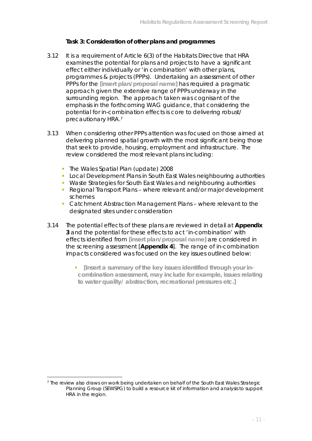#### **Task 3: Consideration of other plans and programmes**

- 3.12 It is a requirement of Article 6(3) of the Habitats Directive that HRA examines the potential for plans and projects to have a significant effect either individually or 'in combination' with other plans, programmes & projects (PPPs). Undertaking an assessment of other PPPs for the **[insert plan/proposal name]** has required a pragmatic approach given the extensive range of PPPs underway in the surrounding region. The approach taken was cognisant of the emphasis in the forthcoming WAG guidance, that considering the potential for in-combination effects is core to delivering robust/ precautionary HRA.7
- 3.13 When considering other PPPs attention was focused on those aimed at delivering planned spatial growth with the most significant being those that seek to provide, housing, employment and infrastructure. The review considered the most relevant plans including:
	- The Wales Spatial Plan (update) 2008
	- **Local Development Plans in South East Wales neighbouring authorities**
	- Waste Strategies for South East Wales and neighbouring authorities
	- Regional Transport Plans where relevant and/or major development schemes
	- **Catchment Abstraction Management Plans where relevant to the** designated sites under consideration
- 3.14 The potential effects of these plans are reviewed in detail at **Appendix 3** and the potential for these effects to act 'in-combination' with effects identified from **[insert plan/proposal name]** are considered in the screening assessment [**Appendix 4**]. The range of in-combination impacts considered was focused on the key issues outlined below:
	- **F** [Insert a summary of the key issues identified through your in**combination assessment, may include for example, issues relating to water quality/ abstraction, recreational pressures etc.]**

 $\overline{a}$ 7 The review also draws on work being undertaken on behalf of the South East Wales Strategic Planning Group (SEWSPG) to build a resource kit of information and analysis to support HRA in the region.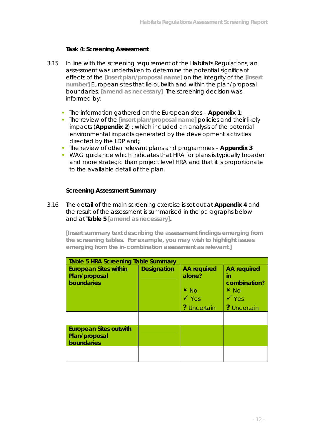#### **Task 4: Screening Assessment**

- 3.15 In line with the screening requirement of the Habitats Regulations, an assessment was undertaken to determine the potential significant effects of the **[insert plan/proposal name]** on the integrity of the **[insert number]** European sites that lie outwith and within the plan/proposal boundaries. **[amend as necessary]** The screening decision was informed by:
	- The information gathered on the European sites **Appendix 1**;
	- **The review of the [insert plan/proposal name] policies and their likely** impacts (**Appendix 2**) ; which included an analysis of the potential environmental impacts generated by the development activities directed by the LDP and**;**
	- The review of other relevant plans and programmes – **Appendix 3**
	- WAG quidance which indicates that HRA for plans is typically broader and more strategic than project level HRA and that it is proportionate to the available detail of the plan.

#### **Screening Assessment Summary**

#### 3.16 The detail of the main screening exercise is set out at **Appendix 4** and the result of the assessment is summarised in the paragraphs below and at **Table 5 [amend as necessary].**

**[Insert summary text describing the assessment findings emerging from the screening tables. For example, you may wish to highlight issues emerging from the in-combination assessment as relevant.]** 

| <b>Table 5 HRA Screening Table Summary</b>                   |                    |                                                                                   |                                                                                               |  |
|--------------------------------------------------------------|--------------------|-----------------------------------------------------------------------------------|-----------------------------------------------------------------------------------------------|--|
| <b>European Sites within</b><br>Plan/proposal<br>boundaries  | <b>Designation</b> | <b>AA</b> required<br>alone?<br>$x_{\text{No}}$<br>$\sqrt{y_{es}}$<br>? Uncertain | <b>AA</b> required<br>in<br>combination?<br>$x_{\text{No}}$<br>$\sqrt{y_{es}}$<br>? Uncertain |  |
|                                                              |                    |                                                                                   |                                                                                               |  |
| <b>European Sites outwith</b><br>Plan/proposal<br>boundaries |                    |                                                                                   |                                                                                               |  |
|                                                              |                    |                                                                                   |                                                                                               |  |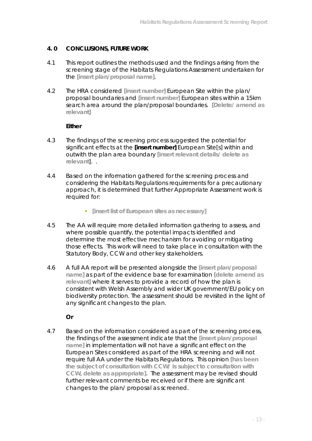#### **4. 0 CONCLUSIONS, FUTURE WORK**

- 4.1 This report outlines the methods used and the findings arising from the screening stage of the Habitats Regulations Assessment undertaken for the **[insert plan/proposal name]**.
- 4.2 The HRA considered **[insert number]** European Site within the plan/ proposal boundaries and **[insert number]** European sites within a 15km search area around the plan/proposal boundaries. **[Delete/ amend as relevant]**

**Either**

- 4.3 The findings of the screening process suggested the potential for significant effects at the **[insert number]** European Site[s] within and outwith the plan area boundary **[insert relevant details/ delete as relevant**]. .
- 4.4 Based on the information gathered for the screening process and considering the Habitats Regulations requirements for a precautionary approach, it is determined that further Appropriate Assessment work is required for:
	- **F** [insert list of European sites as necessary]
- 4.5 The AA will require more detailed information gathering to assess, and where possible quantify, the potential impacts identified and determine the most effective mechanism for avoiding or mitigating those effects. This work will need to take place in consultation with the Statutory Body, CCW and other key stakeholders.
- 4.6 A full AA report will be presented alongside the **[insert plan/proposal name]** as part of the evidence base for examination **[delete amend as relevant]** where it serves to provide a record of how the plan is consistent with Welsh Assembly and wider UK government/EU policy on biodiversity protection. The assessment should be revisited in the light of any significant changes to the plan.

**Or**

4.7 Based on the information considered as part of the screening process, the findings of the assessment indicate that the **[insert plan/proposal name]** in implementation will not have a significant effect on the European Sites considered as part of the HRA screening and will not require full AA under the Habitats Regulations. This opinion **[has been the subject of consultation with CCW/ is subject to consultation with CCW, delete as appropriate].** The assessment may be revised should further relevant comments be received or if there are significant changes to the plan/ proposal as screened.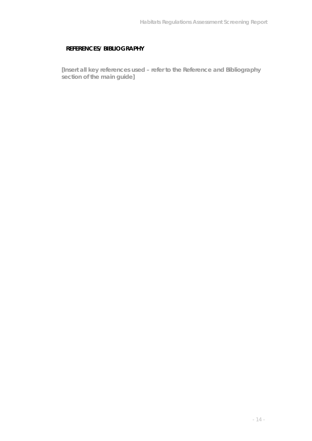#### **REFERENCES/ BIBLIOGRAPHY**

**[Insert all key references used – refer to the Reference and Bibliography section of the main guide]**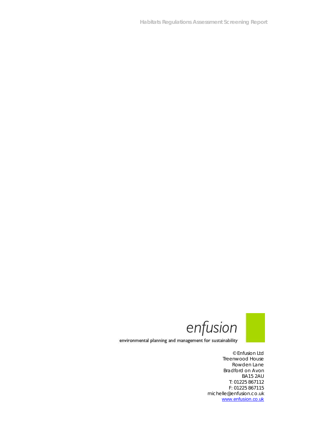**Habitats Regulations Assessment Screening Report**



environmental planning and management for sustainability

© Enfusion Ltd Treenwood House Rowden Lane Bradford on Avon BA15 2AU T: 01225 867112 F: 01225 867115 michelle@enfusion.co.uk www.enfusion.co.uk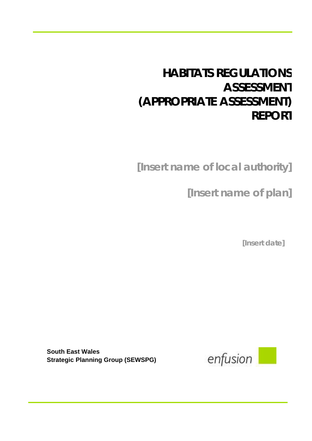# **HABITATS REGULATIONS ASSESSMENT (APPROPRIATE ASSESSMENT) REPORT**

**[Insert name of local authority]**

**[Insert name of plan]**

**[Insert date]**

**South East Wales Strategic Planning Group (SEWSPG)**

enfusion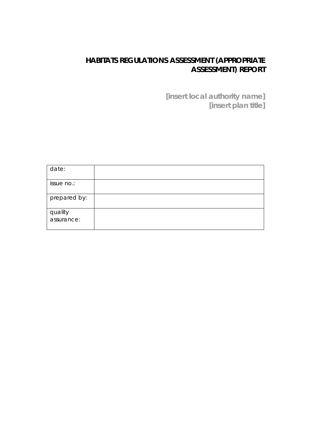# **HABITATS REGULATIONS ASSESSMENT (APPROPRIATE ASSESSMENT) REPORT**

**[insert local authority name] [insert plan title]**

| date:        |  |
|--------------|--|
| issue no.:   |  |
| prepared by: |  |
| quality      |  |
| assurance:   |  |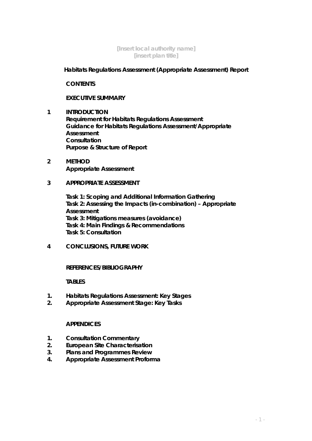#### **[Insert local authority name] [insert plan title]**

**Habitats Regulations Assessment (Appropriate Assessment) Report**

**CONTENTS**

**EXECUTIVE SUMMARY**

- **1 INTRODUCTION Requirement for Habitats Regulations Assessment Guidance for Habitats Regulations Assessment/Appropriate Assessment Consultation Purpose & Structure of Report**
- **2 METHOD Appropriate Assessment**
- **3 APPROPRIATE ASSESSMENT**

**Task 1: Scoping and Additional Information Gathering Task 2: Assessing the Impacts (in-combination) – Appropriate Assessment Task 3: Mitigations measures (avoidance) Task 4: Main Findings & Recommendations Task 5: Consultation**

**4 CONCLUSIONS, FUTURE WORK**

**REFERENCES/BIBLIOGRAPHY**

**TABLES**

- **1. Habitats Regulations Assessment: Key Stages**
- **2. Appropriate Assessment Stage: Key Tasks**

#### **APPENDICES**

- **1. Consultation Commentary**
- **2. European Site Characterisation**
- **3. Plans and Programmes Review**
- **4. Appropriate Assessment Proforma**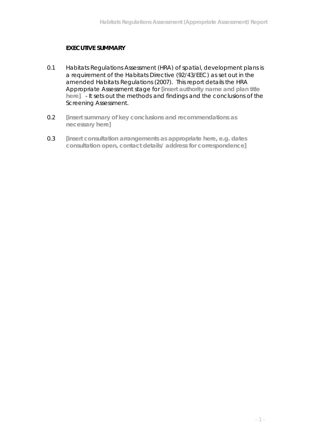# **EXECUTIVE SUMMARY**

- 0.1 Habitats Regulations Assessment (HRA) of spatial, development plans is a requirement of the Habitats Directive (92/43/EEC) as set out in the amended Habitats Regulations (2007). This report details the HRA Appropriate Assessment stage for **[insert authority name and plan title here]**. - It sets out the methods and findings and the conclusions of the Screening Assessment.
- 0.2 **[insert summary of key conclusions and recommendations as necessary here]**
- 0.3 **[insert consultation arrangements as appropriate here, e.g. dates consultation open, contact details/ address for correspondence]**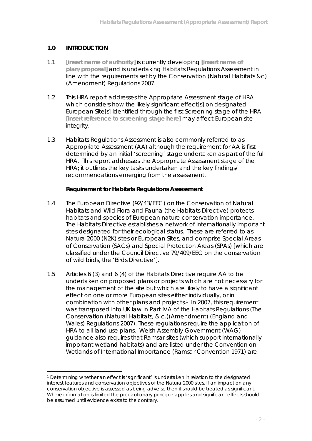### **1.0 INTRODUCTION**

 $\overline{a}$ 

- 1.1 **[insert name of authority]** is currently developing **[insert name of plan/proposal]** and is undertaking Habitats Regulations Assessment in line with the requirements set by the Conservation (Natural Habitats &c) (Amendment) Regulations 2007.
- 1.2 This HRA report addresses the Appropriate Assessment stage of HRA which considers how the likely significant effect[s] on designated European Site[s] identified through the first Screening stage of the HRA **[insert reference to screening stage here]** may affect European site intearity.
- 1.3 Habitats Regulations Assessment is also commonly referred to as Appropriate Assessment (AA) although the requirement for AA is first determined by an initial 'screening' stage undertaken as part of the full HRA. This report addresses the Appropriate Assessment stage of the HRA; it outlines the key tasks undertaken and the key findings/ recommendations emerging from the assessment.

**Requirement for Habitats Regulations Assessment**

- 1.4 The European Directive (92/43/EEC) on the Conservation of Natural Habitats and Wild Flora and Fauna (the Habitats Directive) protects habitats and species of European nature conservation importance. The Habitats Directive establishes a network of internationally important sites designated for their ecological status. These are referred to as Natura 2000 (N2K) sites or European Sites, and comprise Special Areas of Conservation (SACs) and Special Protection Areas (SPAs) [which are classified under the Council Directive 79/409/EEC on the conservation of wild birds, the 'Birds Directive'].
- 1.5 Articles 6 (3) and 6 (4) of the Habitats Directive require AA to be undertaken on proposed plans or projects which are not necessary for the management of the site but which are likely to have a significant effect on one or more European sites either individually, or in combination with other plans and projects.1 In 2007, this requirement was transposed into UK law in Part IVA of the Habitats Regulations (The Conservation (Natural Habitats, & c.)(Amendment) (England and Wales) Regulations 2007). These regulations require the application of HRA to all land use plans. Welsh Assembly Government (WAG) guidance also requires that Ramsar sites (which support internationally important wetland habitats) and are listed under the Convention on Wetlands of International Importance (Ramsar Convention 1971) are

<sup>1</sup> Determining whether an effect is 'significant' is undertaken in relation to the designated interest features and conservation objectives of the Natura 2000 sites. If an impact on any conservation objective is assessed as being adverse then it should be treated as significant. Where information is limited the precautionary principle applies and significant effects should be assumed until evidence exists to the contrary.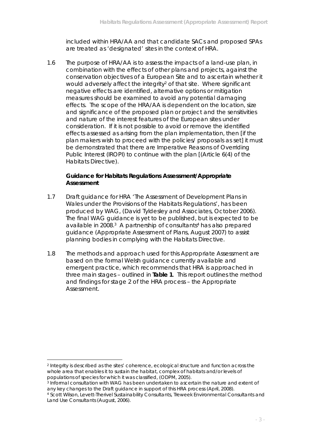included within HRA/AA and that candidate SACs and proposed SPAs are treated as 'designated' sites in the context of HRA.

1.6 The purpose of HRA/AA is to assess the impacts of a land-use plan, in combination with the effects of other plans and projects, against the conservation objectives of a European Site and to ascertain whether it would adversely affect the integrity<sup>2</sup> of that site. Where significant negative effects are identified, alternative options or mitigation measures should be examined to avoid any potential damaging effects. The scope of the HRA/AA is dependent on the location, size and significance of the proposed plan or project and the sensitivities and nature of the interest features of the European sites under consideration. If it is not possible to avoid or remove the identified effects assessed as arising from the plan implementation, then [if the plan makers wish to proceed with the policies/ proposals as set] it must be demonstrated that there are Imperative Reasons of Overriding Public Interest (IROPI) to continue with the plan [(Article 6(4) of the Habitats Directive).

**Guidance for Habitats Regulations Assessment/Appropriate Assessment** 

- 1.7 Draft guidance for HRA 'The Assessment of Development Plans in Wales under the Provisions of the Habitats Regulations', has been produced by WAG, (David Tyldesley and Associates, October 2006). The final WAG guidance is yet to be published, but is expected to be available in 2008.<sup>3</sup> A partnership of consultants<sup>4</sup> has also prepared guidance (Appropriate Assessment of Plans, August 2007) to assist planning bodies in complying with the Habitats Directive.
- 1.8 The methods and approach used for this Appropriate Assessment are based on the formal Welsh guidance currently available and emergent practice, which recommends that HRA is approached in three main stages – outlined in **Table 1**. This report outlines the method and findings for stage 2 of the HRA process – the Appropriate Assessment.

 $\overline{a}$ 

<sup>2</sup> Integrity is described as the sites' coherence, ecological structure and function across the whole area that enables it to sustain the habitat, complex of habitats and/or levels of populations of species for which it was classified, (ODPM, 2005).

<sup>3</sup> Informal consultation with WAG has been undertaken to ascertain the nature and extent of any key changes to the Draft guidance in support of this HRA process (April, 2008).

<sup>4</sup> Scott Wilson, Levett-Therivel Sustainability Consultants, Treweek Environmental Consultants and Land Use Consultants (August, 2006).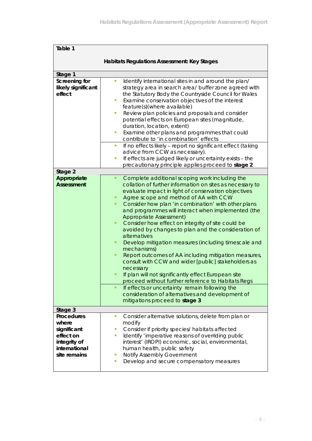| Table 1                                                                                          |                                                                                                                                                                                                                                                                                                                                                                                                                                                                                                                                                                                                                                                                                                                                                                                                                                                                                                                                                                              |
|--------------------------------------------------------------------------------------------------|------------------------------------------------------------------------------------------------------------------------------------------------------------------------------------------------------------------------------------------------------------------------------------------------------------------------------------------------------------------------------------------------------------------------------------------------------------------------------------------------------------------------------------------------------------------------------------------------------------------------------------------------------------------------------------------------------------------------------------------------------------------------------------------------------------------------------------------------------------------------------------------------------------------------------------------------------------------------------|
|                                                                                                  | Habitats Regulations Assessment: Key Stages                                                                                                                                                                                                                                                                                                                                                                                                                                                                                                                                                                                                                                                                                                                                                                                                                                                                                                                                  |
| Stage 1                                                                                          |                                                                                                                                                                                                                                                                                                                                                                                                                                                                                                                                                                                                                                                                                                                                                                                                                                                                                                                                                                              |
| Screening for<br>likely significant<br>effect                                                    | T,<br>Identify international sites in and around the plan/<br>strategy area in search area/ buffer zone agreed with<br>the Statutory Body the Countryside Council for Wales<br>Examine conservation objectives of the interest<br>$\blacksquare$<br>feature(s)(where available)<br>Review plan policies and proposals and consider<br>П<br>potential effects on European sites (magnitude,<br>duration, location, extent)<br>Examine other plans and programmes that could<br>п<br>contribute to 'in combination' effects<br>If no effects likely - report no significant effect (taking<br>$\mathcal{L}_{\mathcal{A}}$<br>advice from CCW as necessary).<br>If effects are judged likely or uncertainty exists - the<br>$\overline{\phantom{a}}$                                                                                                                                                                                                                            |
|                                                                                                  | precautionary principle applies proceed to stage 2                                                                                                                                                                                                                                                                                                                                                                                                                                                                                                                                                                                                                                                                                                                                                                                                                                                                                                                           |
| Stage 2                                                                                          |                                                                                                                                                                                                                                                                                                                                                                                                                                                                                                                                                                                                                                                                                                                                                                                                                                                                                                                                                                              |
| Appropriate<br><b>Assessment</b>                                                                 | Complete additional scoping work including the<br>٠<br>collation of further information on sites as necessary to<br>evaluate impact in light of conservation objectives<br>Agree scope and method of AA with CCW<br>Consider how plan 'in combination' with other plans<br>٠<br>and programmes will interact when implemented (the<br><b>Appropriate Assessment)</b><br>Consider how effect on integrity of site could be<br>٠<br>avoided by changes to plan and the consideration of<br>alternatives<br>Develop mitigation measures (including timescale and<br>٠<br>mechanisms)<br>Report outcomes of AA including mitigation measures,<br>٠<br>consult with CCW and wider [public] stakeholders as<br>necessary<br>If plan will not significantly effect European site<br>proceed without further reference to Habitats Regs<br>If effects or uncertainty remain following the<br>٠<br>consideration of alternatives and development of<br>mitigations proceed to stage 3 |
| Stage 3                                                                                          |                                                                                                                                                                                                                                                                                                                                                                                                                                                                                                                                                                                                                                                                                                                                                                                                                                                                                                                                                                              |
| Procedures<br>where<br>significant<br>effect on<br>integrity of<br>international<br>site remains | Consider alternative solutions, delete from plan or<br>$\overline{\phantom{a}}$<br>modify<br>Consider if priority species/ habitats affected<br>П<br>Identify 'imperative reasons of overriding public<br>$\mathcal{L}_{\mathcal{A}}$<br>interest' (IROPI) economic, social, environmental,<br>human health, public safety<br>Notify Assembly Government<br>п<br>Develop and secure compensatory measures<br>o,                                                                                                                                                                                                                                                                                                                                                                                                                                                                                                                                                              |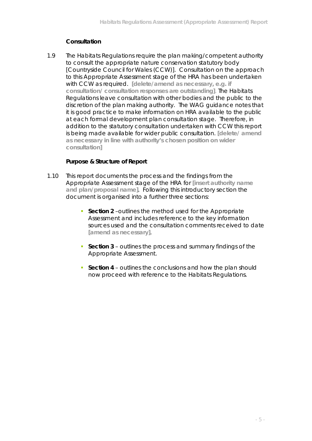# **Consultation**

1.9 The Habitats Regulations require the plan making/competent authority to consult the appropriate nature conservation statutory body [Countryside Council for Wales (CCW)]. Consultation on the approach to this Appropriate Assessment stage of the HRA has been undertaken with CCW as required. **[delete/amend as necessary, e.g. if consultation/ consultation responses are outstanding]**. The Habitats Regulations leave consultation with other bodies and the public to the discretion of the plan making authority. The WAG guidance notes that it is good practice to make information on HRA available to the public at each formal development plan consultation stage. Therefore, in addition to the statutory consultation undertaken with CCW this report is being made available for wider public consultation. **[delete/ amend as necessary in line with authority's chosen position on wider consultation]**

#### **Purpose & Structure of Report**

- 1.10 This report documents the process and the findings from the Appropriate Assessment stage of the HRA for **[insert authority name and plan/proposal name]**. Following this introductory section the document is organised into a further three sections:
	- **Section 2** –outlines the method used for the Appropriate Assessment and includes reference to the key information sources used and the consultation comments received to date **[amend as necessary]**.
	- **Section 3** outlines the process and summary findings of the Appropriate Assessment.
	- **Section 4** outlines the conclusions and how the plan should now proceed with reference to the Habitats Regulations.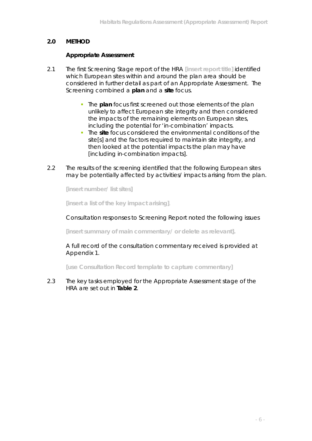## **2.0 METHOD**

#### **Appropriate Assessment**

- 2.1 The first Screening Stage report of the HRA **[insert report title]** identified which European sites within and around the plan area should be considered in further detail as part of an Appropriate Assessment. The Screening combined a **plan** and a **site** focus.
	- **The plan focus first screened out those elements of the plan** unlikely to affect European site integrity and then considered the impacts of the remaining elements on European sites, including the potential for 'in-combination' impacts.
	- The **site** focus considered the environmental conditions of the site[s] and the factors required to maintain site integrity, and then looked at the potential impacts the plan may have [including in-combination impacts].
- 2.2 The results of the screening identified that the following European sites may be potentially affected by activities/ impacts arising from the plan.

**[insert number/ list sites]**

**[insert a list of the key impact arising]**.

Consultation responses to Screening Report noted the following issues

**[insert summary of main commentary/ or delete as relevant].**

A full record of the consultation commentary received is provided at Appendix 1.

**[use Consultation Record template to capture commentary]**

2.3 The key tasks employed for the Appropriate Assessment stage of the HRA are set out in **Table 2**.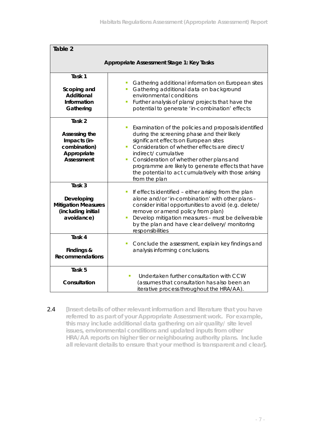| Table 2                                                                                |                                                                                                                                                                                                                                                                                                                                                                                                                  |  |
|----------------------------------------------------------------------------------------|------------------------------------------------------------------------------------------------------------------------------------------------------------------------------------------------------------------------------------------------------------------------------------------------------------------------------------------------------------------------------------------------------------------|--|
| Appropriate Assessment Stage 1: Key Tasks                                              |                                                                                                                                                                                                                                                                                                                                                                                                                  |  |
| Task 1<br>Scoping and<br>Additional<br>Information<br>Gathering                        | Gathering additional information on European sites<br>T.<br>Gathering additional data on background<br>$\blacksquare$<br>environmental conditions<br>Further analysis of plans/ projects that have the<br>Ì,<br>potential to generate 'in-combination' effects                                                                                                                                                   |  |
| Task 2<br>Assessing the<br>Impacts (in-<br>combination)<br>Appropriate<br>Assessment   | Examination of the policies and proposals identified<br>I.<br>during the screening phase and their likely<br>significant effects on European sites<br>Consideration of whether effects are direct/<br>Ì.<br>indirect/cumulative<br>Consideration of whether other plans and<br>I.<br>programme are likely to generate effects that have<br>the potential to act cumulatively with those arising<br>from the plan |  |
| Task 3<br>Developing<br><b>Mitigation Measures</b><br>(including initial<br>avoidance) | If effects identified - either arising from the plan<br>I.<br>alone and/or 'in-combination' with other plans -<br>consider initial opportunities to avoid (e.g. delete/<br>remove or amend policy from plan)<br>Develop mitigation measures - must be deliverable<br>I.<br>by the plan and have clear delivery/ monitoring<br>responsibilities                                                                   |  |
| Task 4<br>Findings &<br>Recommendations                                                | Conclude the assessment, explain key findings and<br>T,<br>analysis informing conclusions.                                                                                                                                                                                                                                                                                                                       |  |
| Task 5<br>Consultation                                                                 | Undertaken further consultation with CCW<br>×,<br>(assumes that consultation has also been an<br>iterative process throughout the HRA/AA).                                                                                                                                                                                                                                                                       |  |

2.4 **[Insert details of other relevant information and literature that you have referred to as part of your Appropriate Assessment work. For example, this may include additional data gathering on air quality/ site level issues, environmental conditions and updated inputs from other HRA/AA reports on higher tier or neighbouring authority plans. Include all relevant details to ensure that your method is transparent and clear].**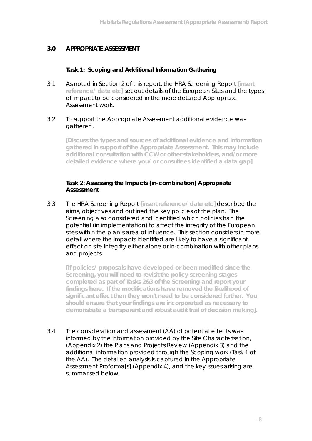# **3.0 APPROPRIATE ASSESSMENT**

**Task 1: Scoping and Additional Information Gathering**

3.1 As noted in Section 2 of this report, the HRA Screening Report **[insert reference/ date etc]** set out details of the European Sites and the types of impact to be considered in the more detailed Appropriate Assessment work.

#### 3.2 To support the Appropriate Assessment additional evidence was gathered.

**[Discuss the types and sources of additional evidence and information gathered in support of the Appropriate Assessment. This may include additional consultation with CCW or other stakeholders, and/or more detailed evidence where you/ or consultees identified a data gap]**

#### **Task 2: Assessing the Impacts (in-combination) Appropriate Assessment**

3.3 The HRA Screening Report **[insert reference/ date etc]** described the aims, objectives and outlined the key policies of the plan. The Screening also considered and identified which policies had the potential (in implementation) to affect the integrity of the European sites within the plan's area of influence. This section considers in more detail where the impacts identified are likely to have a significant effect on site integrity either alone or in-combination with other plans and projects.

**[If policies/ proposals have developed or been modified since the Screening, you will need to revisit the policy screening stages completed as part of Tasks 2&3 of the Screening and report your findings here. If the modifications have removed the likelihood of significant effect then they won't need to be considered further. You should ensure that your findings are incorporated as necessary to demonstrate a transparent and robust audit trail of decision making].** 

3.4 The consideration and assessment (AA) of potential effects was informed by the information provided by the Site Characterisation, (Appendix 2) the Plans and Projects Review (Appendix 3) and the additional information provided through the Scoping work (Task 1 of the AA). The detailed analysis is captured in the Appropriate Assessment Proforma[s] (Appendix 4), and the key issues arising are summarised below.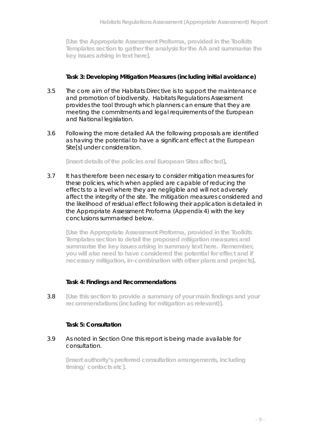**[Use the Appropriate Assessment Proforma, provided in the Toolkits Templates section to gather the analysis for the AA and summarise the key issues arising in text here].**

#### **Task 3: Developing Mitigation Measures (including initial avoidance)**

- 3.5 The core aim of the Habitats Directive is to support the maintenance and promotion of biodiversity. Habitats Regulations Assessment provides the tool through which planners can ensure that they are meeting the commitments and legal requirements of the European and National legislation.
- 3.6 Following the more detailed AA the following proposals are identified as having the potential to have a significant effect at the European Site[s] under consideration.

**[insert details of the policies and European Sites affected]**.

3.7 It has therefore been necessary to consider mitigation measures for these policies, which when applied are capable of reducing the effects to a level where they are negligible and will not adversely affect the integrity of the site. The mitigation measures considered and the likelihood of residual effect following their application is detailed in the Appropriate Assessment Proforma (Appendix 4) with the key conclusions summarised below.

**[Use the Appropriate Assessment Proforma, provided in the Toolkits Templates section to detail the proposed mitigation measures and summarise the key issues arising in summary text here. Remember, you will also need to have considered the potential for effect and if necessary mitigation, in-combination with other plans and projects].**

#### **Task 4: Findings and Recommendations**

3.8 **[Use this section to provide a summary of your main findings and your recommendations (including for mitigation as relevant)].** 

#### **Task 5: Consultation**

#### 3.9 As noted in Section One this report is being made available for consultation.

**[insert authority's preferred consultation arrangements, including timing/ contacts etc].**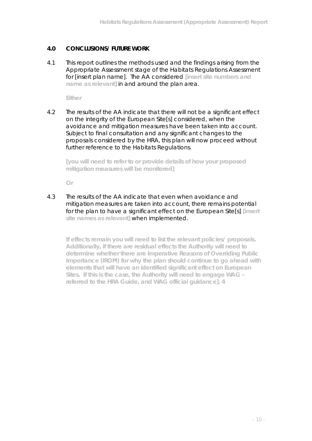### **4.0 CONCLUSIONS/ FUTURE WORK**

4.1 This report outlines the methods used and the findings arising from the Appropriate Assessment stage of the Habitats Regulations Assessment for [insert plan name]. The AA considered **[insert site numbers and name as relevant]** in and around the plan area.

**Either**

4.2 The results of the AA indicate that there will not be a significant effect on the integrity of the European Site[s] considered, when the avoidance and mitigation measures have been taken into account. Subject to final consultation and any significant changes to the proposals considered by the HRA, this plan will now proceed without further reference to the Habitats Regulations.

**[you will need to refer to or provide details of how your proposed mitigation measures will be monitored]**

**Or**

4.3 The results of the AA indicate that even when avoidance and mitigation measures are taken into account, there remains potential for the plan to have a significant effect on the European Site[s] **[insert site names as relevant]** when implemented.

**If effects remain you will need to list the relevant policies/ proposals. Additionally, if there are residual effects the Authority will need to determine whether there are Imperative Reasons of Overriding Public Importance (IROPI) for why the plan should continue to go ahead with elements that will have an identified significant effect on European Sites. If this is the case, the Authority will need to engage WAG – referred to the HRA Guide, and WAG official guidance]. 4**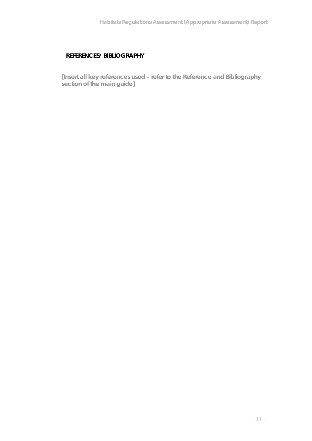# **REFERENCES/ BIBLIOGRAPHY**

**[Insert all key references used – refer to the Reference and Bibliography section of the main guide]**